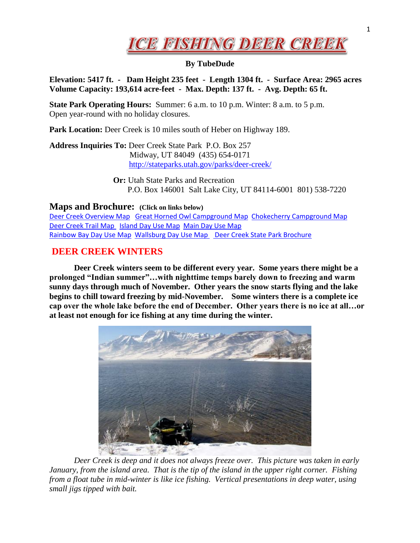

## **By TubeDude**

**Elevation: 5417 ft. - Dam Height 235 feet - Length 1304 ft. - Surface Area: 2965 acres Volume Capacity: 193,614 acre-feet - Max. Depth: 137 ft. - Avg. Depth: 65 ft.**

**State Park Operating Hours:** Summer: 6 a.m. to 10 p.m. Winter: 8 a.m. to 5 p.m. Open year-round with no holiday closures.

**Park Location:** Deer Creek is 10 miles south of Heber on Highway 189.

**Address Inquiries To:** Deer Creek State Park P.O. Box 257 Midway, UT 84049 (435) 654-0171 <http://stateparks.utah.gov/parks/deer-creek/>

> **Or:** Utah State Parks and Recreation P.O. Box 146001 Salt Lake City, UT 84114-6001 801) 538-7220

## **Maps and Brochure: (Click on links below)**

[Deer Creek Overview Map](http://stateparks.utah.gov/stateparks/wp-content/uploads/sites/26/2015/02/deercreek_dcspoverview.png) [Great Horned Owl Campground Map](http://stateparks.utah.gov/stateparks/wp-content/uploads/sites/26/2015/02/deercreek_DCDPhorned-owl-cg.jpg) [Chokecherry Campground Map](http://stateparks.utah.gov/stateparks/wp-content/uploads/sites/26/2015/02/deercreek_CGchokecherry.jpg) [Deer Creek Trail Map](http://stateparks.utah.gov/stateparks/wp-content/uploads/sites/26/2015/02/DeerCreekTrail.pdf) [Island Day Use Map](http://stateparks.utah.gov/stateparks/wp-content/uploads/sites/26/2015/02/deercreek_islanddayuse.jpg) [Main Day Use Map](http://stateparks.utah.gov/stateparks/wp-content/uploads/sites/26/2015/02/deercreek_maindayuse.jpg) [Rainbow Bay Day Use Map Wallsburg Day Use Map](http://stateparks.utah.gov/stateparks/wp-content/uploads/sites/26/2015/02/deercreek_Rainbowdayuse.jpg) Deer Creek State Park Brochure 

## **DEER CREEK WINTERS**

**Deer Creek winters seem to be different every year. Some years there might be a prolonged "Indian summer"…with nighttime temps barely down to freezing and warm sunny days through much of November. Other years the snow starts flying and the lake begins to chill toward freezing by mid-November. Some winters there is a complete ice cap over the whole lake before the end of December. Other years there is no ice at all…or at least not enough for ice fishing at any time during the winter.** 



*Deer Creek is deep and it does not always freeze over. This picture was taken in early January, from the island area. That is the tip of the island in the upper right corner. Fishing from a float tube in mid-winter is like ice fishing. Vertical presentations in deep water, using small jigs tipped with bait.*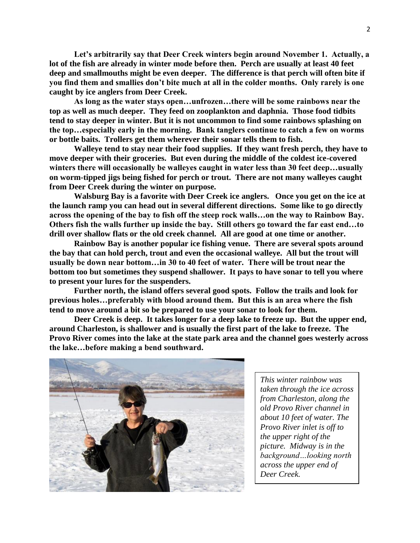**Let's arbitrarily say that Deer Creek winters begin around November 1. Actually, a lot of the fish are already in winter mode before then. Perch are usually at least 40 feet deep and smallmouths might be even deeper. The difference is that perch will often bite if you find them and smallies don't bite much at all in the colder months. Only rarely is one caught by ice anglers from Deer Creek.**

**As long as the water stays open…unfrozen…there will be some rainbows near the top as well as much deeper. They feed on zooplankton and daphnia. Those food tidbits tend to stay deeper in winter. But it is not uncommon to find some rainbows splashing on the top…especially early in the morning. Bank tanglers continue to catch a few on worms or bottle baits. Trollers get them wherever their sonar tells them to fish.** 

**Walleye tend to stay near their food supplies. If they want fresh perch, they have to move deeper with their groceries. But even during the middle of the coldest ice-covered winters there will occasionally be walleyes caught in water less than 30 feet deep…usually on worm-tipped jigs being fished for perch or trout. There are not many walleyes caught from Deer Creek during the winter on purpose.**

**Walsburg Bay is a favorite with Deer Creek ice anglers. Once you get on the ice at the launch ramp you can head out in several different directions. Some like to go directly across the opening of the bay to fish off the steep rock walls…on the way to Rainbow Bay. Others fish the walls further up inside the bay. Still others go toward the far east end…to drill over shallow flats or the old creek channel. All are good at one time or another.**

**Rainbow Bay is another popular ice fishing venue. There are several spots around the bay that can hold perch, trout and even the occasional walleye. All but the trout will usually be down near bottom…in 30 to 40 feet of water. There will be trout near the bottom too but sometimes they suspend shallower. It pays to have sonar to tell you where to present your lures for the suspenders.**

**Further north, the island offers several good spots. Follow the trails and look for previous holes…preferably with blood around them. But this is an area where the fish tend to move around a bit so be prepared to use your sonar to look for them.**

**Deer Creek is deep. It takes longer for a deep lake to freeze up. But the upper end, around Charleston, is shallower and is usually the first part of the lake to freeze. The Provo River comes into the lake at the state park area and the channel goes westerly across the lake…before making a bend southward.** 



*This winter rainbow was taken through the ice across from Charleston, along the old Provo River channel in about 10 feet of water. The Provo River inlet is off to the upper right of the picture. Midway is in the background…looking north across the upper end of Deer Creek.*